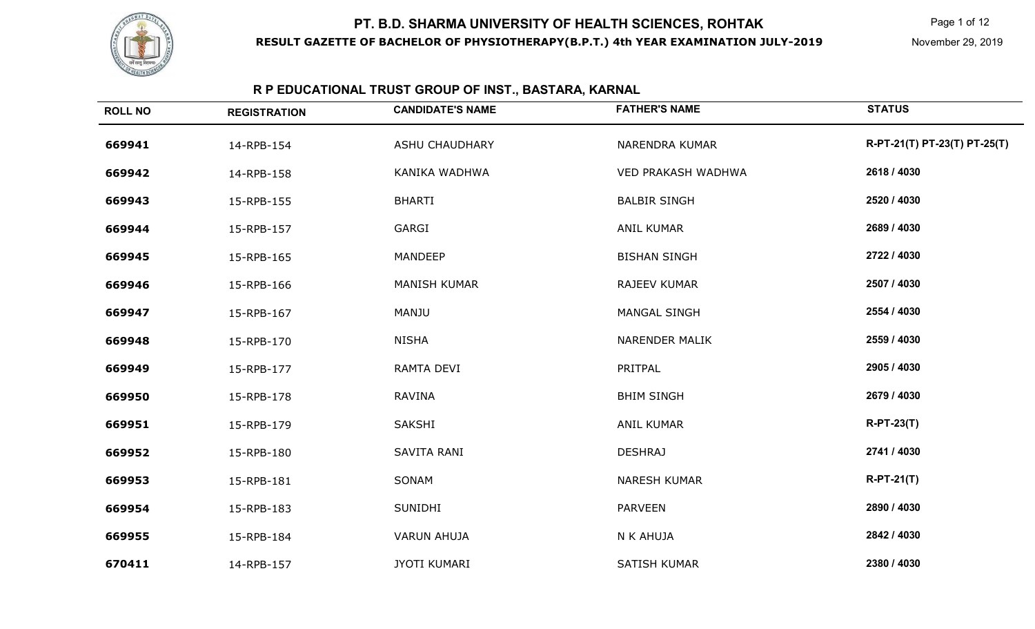

# **R P EDUCATIONAL TRUST GROUP OF INST., BASTARA, KARNAL**

| <b>ROLL NO</b> | <b>REGISTRATION</b> | <b>CANDIDATE'S NAME</b> | <b>FATHER'S NAME</b>  | <b>STATUS</b>                |
|----------------|---------------------|-------------------------|-----------------------|------------------------------|
| 669941         | 14-RPB-154          | <b>ASHU CHAUDHARY</b>   | <b>NARENDRA KUMAR</b> | R-PT-21(T) PT-23(T) PT-25(T) |
| 669942         | 14-RPB-158          | KANIKA WADHWA           | VED PRAKASH WADHWA    | 2618 / 4030                  |
| 669943         | 15-RPB-155          | <b>BHARTI</b>           | <b>BALBIR SINGH</b>   | 2520 / 4030                  |
| 669944         | 15-RPB-157          | GARGI                   | <b>ANIL KUMAR</b>     | 2689 / 4030                  |
| 669945         | 15-RPB-165          | <b>MANDEEP</b>          | <b>BISHAN SINGH</b>   | 2722 / 4030                  |
| 669946         | 15-RPB-166          | <b>MANISH KUMAR</b>     | RAJEEV KUMAR          | 2507 / 4030                  |
| 669947         | 15-RPB-167          | <b>MANJU</b>            | <b>MANGAL SINGH</b>   | 2554 / 4030                  |
| 669948         | 15-RPB-170          | <b>NISHA</b>            | <b>NARENDER MALIK</b> | 2559 / 4030                  |
| 669949         | 15-RPB-177          | RAMTA DEVI              | PRITPAL               | 2905 / 4030                  |
| 669950         | 15-RPB-178          | <b>RAVINA</b>           | <b>BHIM SINGH</b>     | 2679 / 4030                  |
| 669951         | 15-RPB-179          | <b>SAKSHI</b>           | <b>ANIL KUMAR</b>     | $R-PT-23(T)$                 |
| 669952         | 15-RPB-180          | SAVITA RANI             | <b>DESHRAJ</b>        | 2741 / 4030                  |
| 669953         | 15-RPB-181          | SONAM                   | <b>NARESH KUMAR</b>   | $R-PT-21(T)$                 |
| 669954         | 15-RPB-183          | SUNIDHI                 | <b>PARVEEN</b>        | 2890 / 4030                  |
| 669955         | 15-RPB-184          | <b>VARUN AHUJA</b>      | N K AHUJA             | 2842 / 4030                  |
| 670411         | 14-RPB-157          | <b>JYOTI KUMARI</b>     | SATISH KUMAR          | 2380 / 4030                  |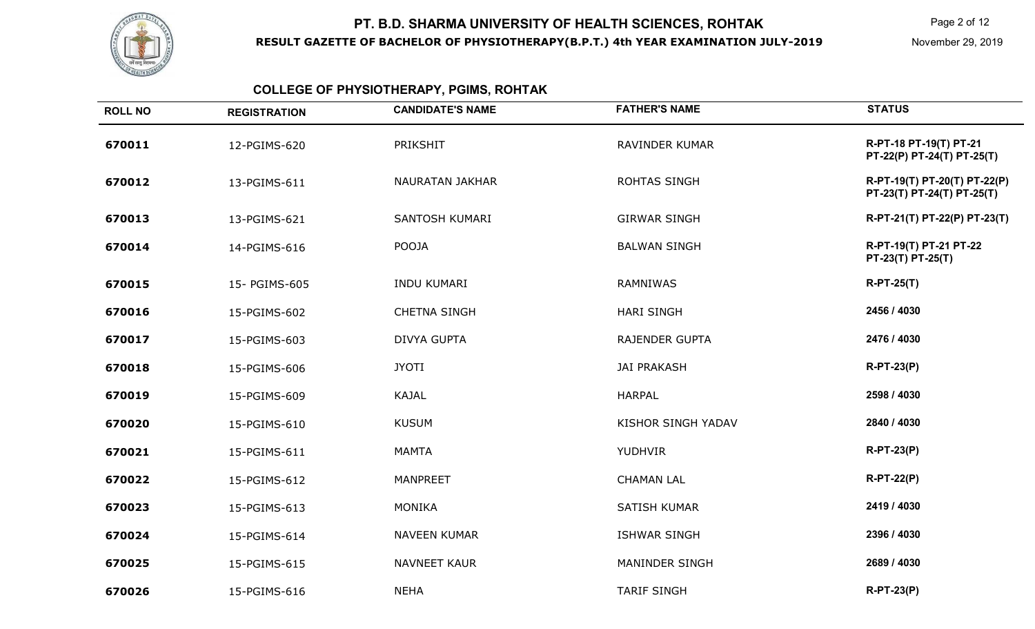

# **COLLEGE OF PHYSIOTHERAPY, PGIMS, ROHTAK**

| <b>ROLL NO</b> | <b>REGISTRATION</b> | <b>CANDIDATE'S NAME</b> | <b>FATHER'S NAME</b>  | <b>STATUS</b>                                              |
|----------------|---------------------|-------------------------|-----------------------|------------------------------------------------------------|
| 670011         | 12-PGIMS-620        | PRIKSHIT                | RAVINDER KUMAR        | R-PT-18 PT-19(T) PT-21<br>PT-22(P) PT-24(T) PT-25(T)       |
| 670012         | 13-PGIMS-611        | <b>NAURATAN JAKHAR</b>  | ROHTAS SINGH          | R-PT-19(T) PT-20(T) PT-22(P)<br>PT-23(T) PT-24(T) PT-25(T) |
| 670013         | 13-PGIMS-621        | SANTOSH KUMARI          | <b>GIRWAR SINGH</b>   | R-PT-21(T) PT-22(P) PT-23(T)                               |
| 670014         | 14-PGIMS-616        | <b>POOJA</b>            | <b>BALWAN SINGH</b>   | R-PT-19(T) PT-21 PT-22<br>PT-23(T) PT-25(T)                |
| 670015         | 15- PGIMS-605       | <b>INDU KUMARI</b>      | RAMNIWAS              | <b>R-PT-25(T)</b>                                          |
| 670016         | 15-PGIMS-602        | <b>CHETNA SINGH</b>     | <b>HARI SINGH</b>     | 2456 / 4030                                                |
| 670017         | 15-PGIMS-603        | <b>DIVYA GUPTA</b>      | <b>RAJENDER GUPTA</b> | 2476 / 4030                                                |
| 670018         | 15-PGIMS-606        | <b>JYOTI</b>            | <b>JAI PRAKASH</b>    | $R-PT-23(P)$                                               |
| 670019         | 15-PGIMS-609        | <b>KAJAL</b>            | <b>HARPAL</b>         | 2598 / 4030                                                |
| 670020         | 15-PGIMS-610        | <b>KUSUM</b>            | KISHOR SINGH YADAV    | 2840 / 4030                                                |
| 670021         | 15-PGIMS-611        | <b>MAMTA</b>            | <b>YUDHVIR</b>        | <b>R-PT-23(P)</b>                                          |
| 670022         | 15-PGIMS-612        | <b>MANPREET</b>         | <b>CHAMAN LAL</b>     | $R-PT-22(P)$                                               |
| 670023         | 15-PGIMS-613        | <b>MONIKA</b>           | SATISH KUMAR          | 2419 / 4030                                                |
| 670024         | 15-PGIMS-614        | <b>NAVEEN KUMAR</b>     | <b>ISHWAR SINGH</b>   | 2396 / 4030                                                |
| 670025         | 15-PGIMS-615        | <b>NAVNEET KAUR</b>     | MANINDER SINGH        | 2689 / 4030                                                |
| 670026         | 15-PGIMS-616        | <b>NEHA</b>             | <b>TARIF SINGH</b>    | $R-PT-23(P)$                                               |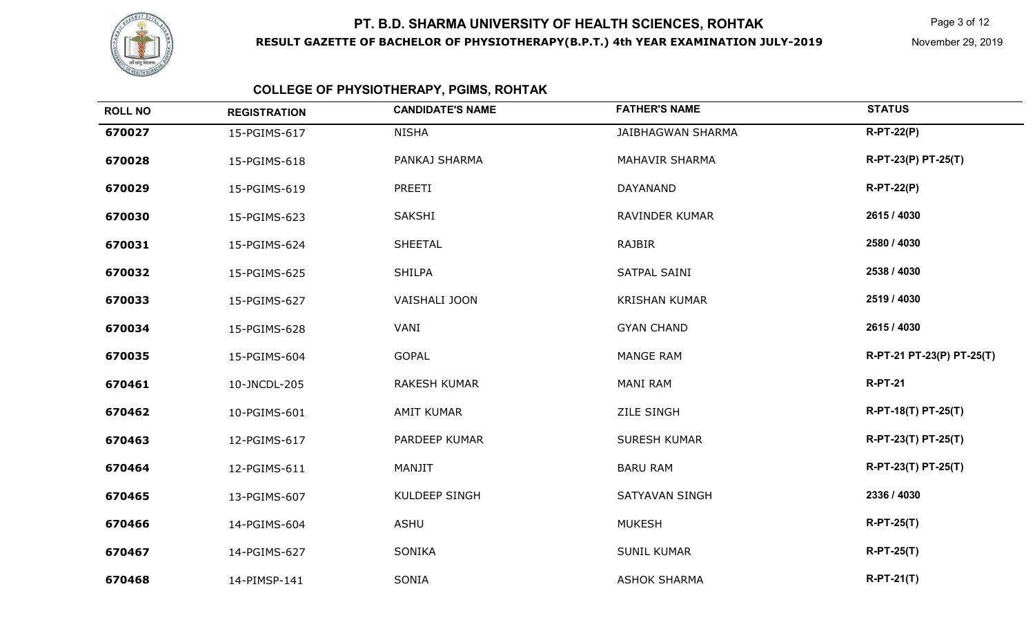

Page 3 of 12

# **COLLEGE OF PHYSIOTHERAPY, PGIMS, ROHTAK**

| <b>ROLL NO</b> | <b>REGISTRATION</b> | <b>CANDIDATE'S NAME</b> | <b>FATHER'S NAME</b>     | <b>STATUS</b>             |
|----------------|---------------------|-------------------------|--------------------------|---------------------------|
| 670027         | 15-PGIMS-617        | <b>NISHA</b>            | <b>JAIBHAGWAN SHARMA</b> | $R-PT-22(P)$              |
| 670028         | 15-PGIMS-618        | PANKAJ SHARMA           | <b>MAHAVIR SHARMA</b>    | R-PT-23(P) PT-25(T)       |
| 670029         | 15-PGIMS-619        | PREETI                  | <b>DAYANAND</b>          | $R-PT-22(P)$              |
| 670030         | 15-PGIMS-623        | SAKSHI                  | RAVINDER KUMAR           | 2615 / 4030               |
| 670031         | 15-PGIMS-624        | <b>SHEETAL</b>          | <b>RAJBIR</b>            | 2580 / 4030               |
| 670032         | 15-PGIMS-625        | <b>SHILPA</b>           | SATPAL SAINI             | 2538 / 4030               |
| 670033         | 15-PGIMS-627        | VAISHALI JOON           | <b>KRISHAN KUMAR</b>     | 2519 / 4030               |
| 670034         | 15-PGIMS-628        | VANI                    | <b>GYAN CHAND</b>        | 2615 / 4030               |
| 670035         | 15-PGIMS-604        | <b>GOPAL</b>            | <b>MANGE RAM</b>         | R-PT-21 PT-23(P) PT-25(T) |
| 670461         | 10-JNCDL-205        | RAKESH KUMAR            | MANI RAM                 | <b>R-PT-21</b>            |
| 670462         | 10-PGIMS-601        | <b>AMIT KUMAR</b>       | ZILE SINGH               | R-PT-18(T) PT-25(T)       |
| 670463         | 12-PGIMS-617        | PARDEEP KUMAR           | <b>SURESH KUMAR</b>      | R-PT-23(T) PT-25(T)       |
| 670464         | 12-PGIMS-611        | MANJIT                  | <b>BARU RAM</b>          | R-PT-23(T) PT-25(T)       |
| 670465         | 13-PGIMS-607        | KULDEEP SINGH           | SATYAVAN SINGH           | 2336 / 4030               |
| 670466         | 14-PGIMS-604        | <b>ASHU</b>             | <b>MUKESH</b>            | $R-PT-25(T)$              |
| 670467         | 14-PGIMS-627        | <b>SONIKA</b>           | <b>SUNIL KUMAR</b>       | $R-PT-25(T)$              |
| 670468         | 14-PIMSP-141        | SONIA                   | <b>ASHOK SHARMA</b>      | $R-PT-21(T)$              |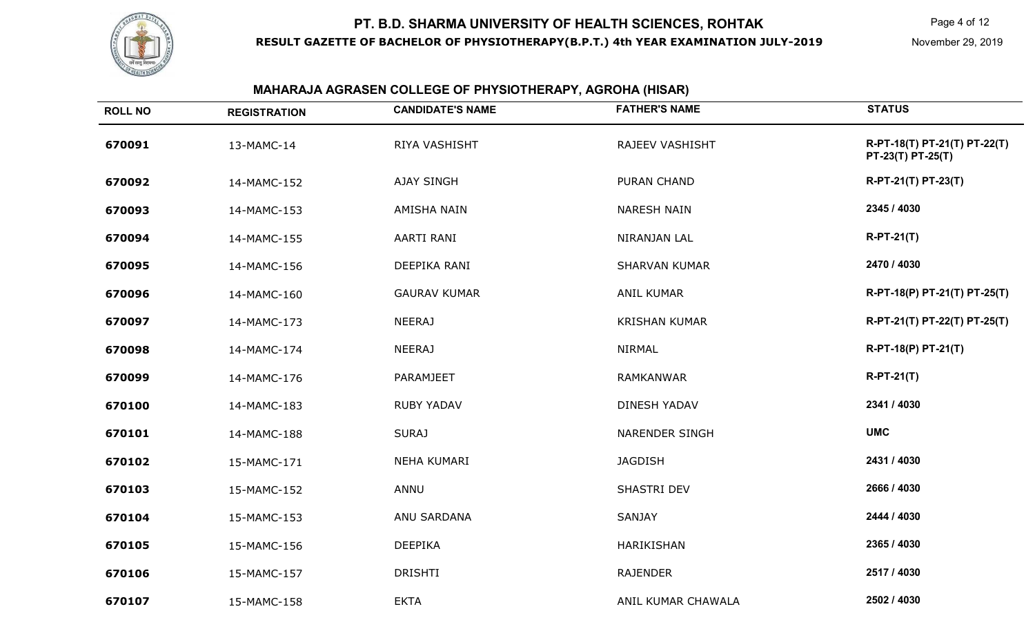

#### **MAHARAJA AGRASEN COLLEGE OF PHYSIOTHERAPY, AGROHA (HISAR)**

| <b>ROLL NO</b> | <b>REGISTRATION</b> | <b>CANDIDATE'S NAME</b> | <b>FATHER'S NAME</b>  | <b>STATUS</b>                                     |
|----------------|---------------------|-------------------------|-----------------------|---------------------------------------------------|
| 670091         | 13-MAMC-14          | RIYA VASHISHT           | RAJEEV VASHISHT       | R-PT-18(T) PT-21(T) PT-22(T)<br>PT-23(T) PT-25(T) |
| 670092         | 14-MAMC-152         | <b>AJAY SINGH</b>       | <b>PURAN CHAND</b>    | R-PT-21(T) PT-23(T)                               |
| 670093         | 14-MAMC-153         | AMISHA NAIN             | <b>NARESH NAIN</b>    | 2345 / 4030                                       |
| 670094         | 14-MAMC-155         | AARTI RANI              | NIRANJAN LAL          | $R-PT-21(T)$                                      |
| 670095         | 14-MAMC-156         | DEEPIKA RANI            | <b>SHARVAN KUMAR</b>  | 2470 / 4030                                       |
| 670096         | 14-MAMC-160         | <b>GAURAV KUMAR</b>     | <b>ANIL KUMAR</b>     | R-PT-18(P) PT-21(T) PT-25(T)                      |
| 670097         | 14-MAMC-173         | <b>NEERAJ</b>           | <b>KRISHAN KUMAR</b>  | R-PT-21(T) PT-22(T) PT-25(T)                      |
| 670098         | 14-MAMC-174         | <b>NEERAJ</b>           | <b>NIRMAL</b>         | R-PT-18(P) PT-21(T)                               |
| 670099         | 14-MAMC-176         | PARAMJEET               | <b>RAMKANWAR</b>      | $R-PT-21(T)$                                      |
| 670100         | 14-MAMC-183         | <b>RUBY YADAV</b>       | <b>DINESH YADAV</b>   | 2341 / 4030                                       |
| 670101         | 14-MAMC-188         | <b>SURAJ</b>            | <b>NARENDER SINGH</b> | <b>UMC</b>                                        |
| 670102         | 15-MAMC-171         | NEHA KUMARI             | <b>JAGDISH</b>        | 2431 / 4030                                       |
| 670103         | 15-MAMC-152         | ANNU                    | SHASTRI DEV           | 2666 / 4030                                       |
| 670104         | 15-MAMC-153         | ANU SARDANA             | SANJAY                | 2444 / 4030                                       |
| 670105         | 15-MAMC-156         | <b>DEEPIKA</b>          | HARIKISHAN            | 2365 / 4030                                       |
| 670106         | 15-MAMC-157         | <b>DRISHTI</b>          | <b>RAJENDER</b>       | 2517 / 4030                                       |
| 670107         | 15-MAMC-158         | <b>EKTA</b>             | ANIL KUMAR CHAWALA    | 2502 / 4030                                       |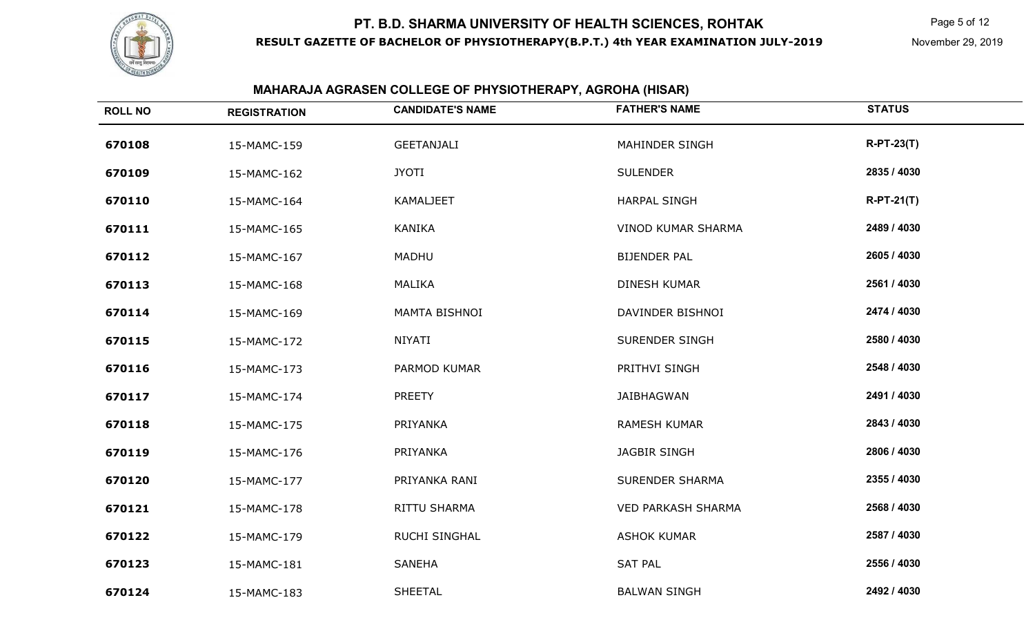

Page 5 of 12

#### **MAHARAJA AGRASEN COLLEGE OF PHYSIOTHERAPY, AGROHA (HISAR)**

| <b>ROLL NO</b> | <b>REGISTRATION</b> | <b>CANDIDATE'S NAME</b> | <b>FATHER'S NAME</b>      | <b>STATUS</b> |
|----------------|---------------------|-------------------------|---------------------------|---------------|
| 670108         | 15-MAMC-159         | <b>GEETANJALI</b>       | MAHINDER SINGH            | $R-PT-23(T)$  |
| 670109         | 15-MAMC-162         | <b>JYOTI</b>            | <b>SULENDER</b>           | 2835 / 4030   |
| 670110         | 15-MAMC-164         | KAMALJEET               | <b>HARPAL SINGH</b>       | $R-PT-21(T)$  |
| 670111         | 15-MAMC-165         | <b>KANIKA</b>           | <b>VINOD KUMAR SHARMA</b> | 2489 / 4030   |
| 670112         | 15-MAMC-167         | MADHU                   | <b>BIJENDER PAL</b>       | 2605 / 4030   |
| 670113         | 15-MAMC-168         | <b>MALIKA</b>           | <b>DINESH KUMAR</b>       | 2561 / 4030   |
| 670114         | 15-MAMC-169         | MAMTA BISHNOI           | DAVINDER BISHNOI          | 2474 / 4030   |
| 670115         | 15-MAMC-172         | NIYATI                  | <b>SURENDER SINGH</b>     | 2580 / 4030   |
| 670116         | 15-MAMC-173         | PARMOD KUMAR            | PRITHVI SINGH             | 2548 / 4030   |
| 670117         | 15-MAMC-174         | <b>PREETY</b>           | JAIBHAGWAN                | 2491 / 4030   |
| 670118         | 15-MAMC-175         | PRIYANKA                | <b>RAMESH KUMAR</b>       | 2843 / 4030   |
| 670119         | 15-MAMC-176         | PRIYANKA                | <b>JAGBIR SINGH</b>       | 2806 / 4030   |
| 670120         | 15-MAMC-177         | PRIYANKA RANI           | <b>SURENDER SHARMA</b>    | 2355 / 4030   |
| 670121         | 15-MAMC-178         | RITTU SHARMA            | <b>VED PARKASH SHARMA</b> | 2568 / 4030   |
| 670122         | 15-MAMC-179         | <b>RUCHI SINGHAL</b>    | <b>ASHOK KUMAR</b>        | 2587 / 4030   |
| 670123         | 15-MAMC-181         | <b>SANEHA</b>           | <b>SAT PAL</b>            | 2556 / 4030   |
| 670124         | 15-MAMC-183         | <b>SHEETAL</b>          | <b>BALWAN SINGH</b>       | 2492 / 4030   |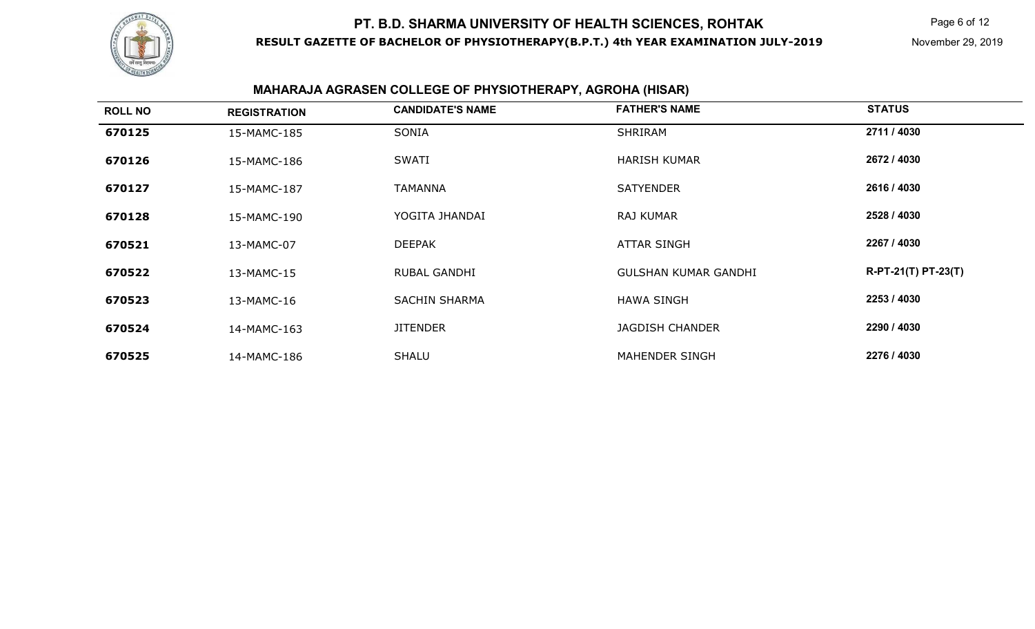

# **MAHARAJA AGRASEN COLLEGE OF PHYSIOTHERAPY, AGROHA (HISAR)**

| <b>ROLL NO</b> | <b>REGISTRATION</b> | <b>CANDIDATE'S NAME</b> | <b>FATHER'S NAME</b>        | <b>STATUS</b>       |
|----------------|---------------------|-------------------------|-----------------------------|---------------------|
| 670125         | 15-MAMC-185         | SONIA                   | <b>SHRIRAM</b>              | 2711 / 4030         |
| 670126         | 15-MAMC-186         | <b>SWATI</b>            | <b>HARISH KUMAR</b>         | 2672 / 4030         |
| 670127         | 15-MAMC-187         | <b>TAMANNA</b>          | <b>SATYENDER</b>            | 2616 / 4030         |
| 670128         | 15-MAMC-190         | YOGITA JHANDAI          | RAJ KUMAR                   | 2528 / 4030         |
| 670521         | 13-MAMC-07          | <b>DEEPAK</b>           | <b>ATTAR SINGH</b>          | 2267 / 4030         |
| 670522         | 13-MAMC-15          | <b>RUBAL GANDHI</b>     | <b>GULSHAN KUMAR GANDHI</b> | R-PT-21(T) PT-23(T) |
| 670523         | 13-MAMC-16          | <b>SACHIN SHARMA</b>    | <b>HAWA SINGH</b>           | 2253 / 4030         |
| 670524         | 14-MAMC-163         | <b>JITENDER</b>         | <b>JAGDISH CHANDER</b>      | 2290 / 4030         |
| 670525         | 14-MAMC-186         | <b>SHALU</b>            | MAHENDER SINGH              | 2276 / 4030         |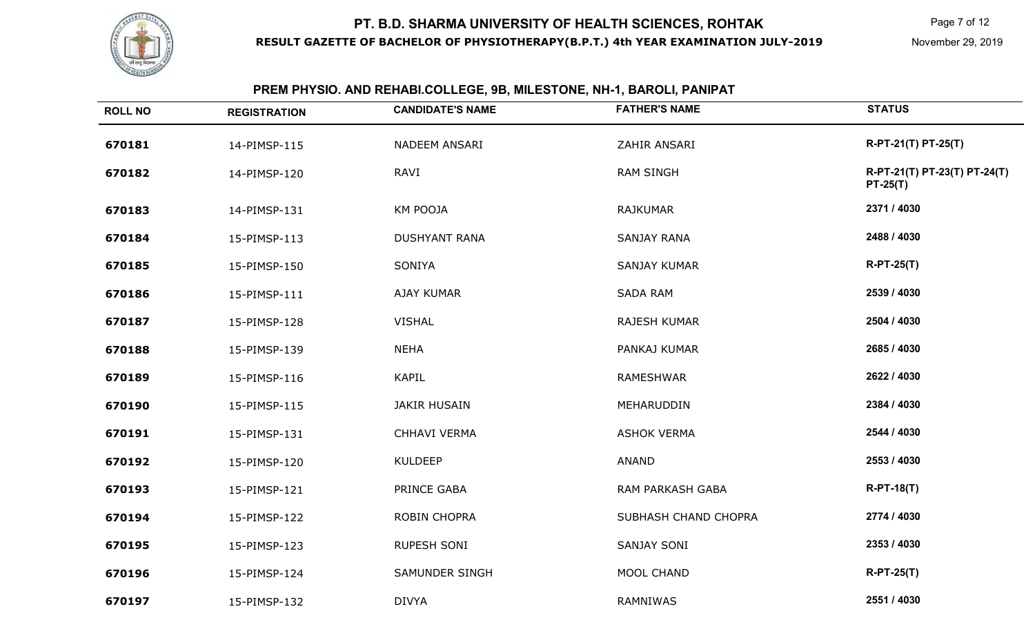

# **PREM PHYSIO. AND REHABI.COLLEGE, 9B, MILESTONE, NH-1, BAROLI, PANIPAT**

| <b>ROLL NO</b> | <b>REGISTRATION</b> | <b>CANDIDATE'S NAME</b> | <b>FATHER'S NAME</b> | <b>STATUS</b>                              |
|----------------|---------------------|-------------------------|----------------------|--------------------------------------------|
| 670181         | 14-PIMSP-115        | NADEEM ANSARI           | ZAHIR ANSARI         | R-PT-21(T) PT-25(T)                        |
| 670182         | 14-PIMSP-120        | RAVI                    | <b>RAM SINGH</b>     | R-PT-21(T) PT-23(T) PT-24(T)<br>$PT-25(T)$ |
| 670183         | 14-PIMSP-131        | KM POOJA                | <b>RAJKUMAR</b>      | 2371 / 4030                                |
| 670184         | 15-PIMSP-113        | <b>DUSHYANT RANA</b>    | <b>SANJAY RANA</b>   | 2488 / 4030                                |
| 670185         | 15-PIMSP-150        | SONIYA                  | <b>SANJAY KUMAR</b>  | $R-PT-25(T)$                               |
| 670186         | 15-PIMSP-111        | AJAY KUMAR              | <b>SADA RAM</b>      | 2539 / 4030                                |
| 670187         | 15-PIMSP-128        | <b>VISHAL</b>           | RAJESH KUMAR         | 2504 / 4030                                |
| 670188         | 15-PIMSP-139        | <b>NEHA</b>             | PANKAJ KUMAR         | 2685 / 4030                                |
| 670189         | 15-PIMSP-116        | <b>KAPIL</b>            | <b>RAMESHWAR</b>     | 2622 / 4030                                |
| 670190         | 15-PIMSP-115        | <b>JAKIR HUSAIN</b>     | MEHARUDDIN           | 2384 / 4030                                |
| 670191         | 15-PIMSP-131        | CHHAVI VERMA            | <b>ASHOK VERMA</b>   | 2544 / 4030                                |
| 670192         | 15-PIMSP-120        | <b>KULDEEP</b>          | <b>ANAND</b>         | 2553 / 4030                                |
| 670193         | 15-PIMSP-121        | PRINCE GABA             | RAM PARKASH GABA     | $R-PT-18(T)$                               |
| 670194         | 15-PIMSP-122        | ROBIN CHOPRA            | SUBHASH CHAND CHOPRA | 2774 / 4030                                |
| 670195         | 15-PIMSP-123        | <b>RUPESH SONI</b>      | SANJAY SONI          | 2353 / 4030                                |
| 670196         | 15-PIMSP-124        | SAMUNDER SINGH          | MOOL CHAND           | $R-PT-25(T)$                               |
| 670197         | 15-PIMSP-132        | <b>DIVYA</b>            | RAMNIWAS             | 2551 / 4030                                |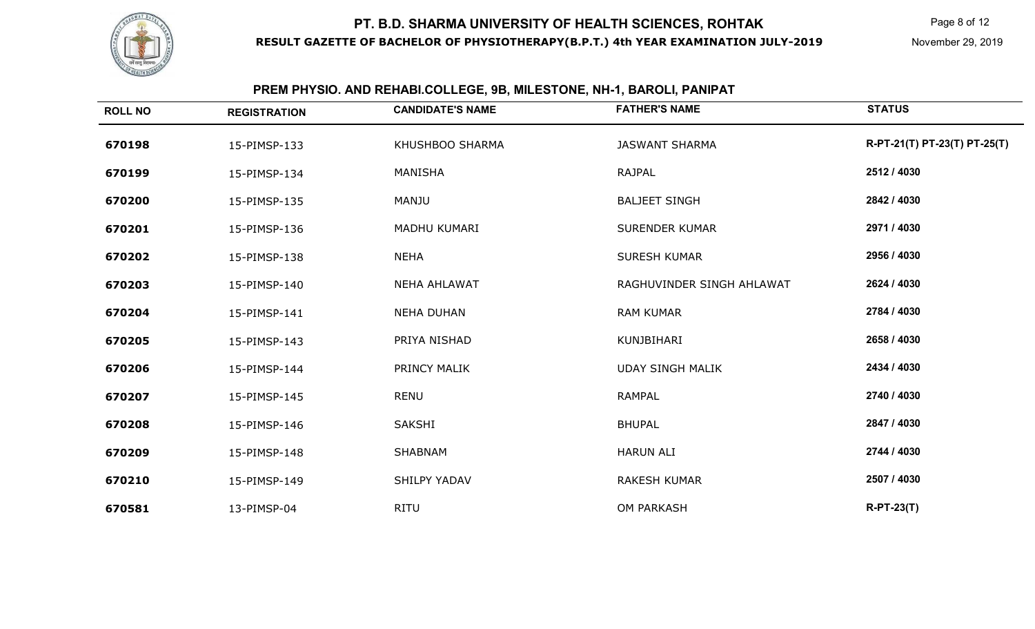

#### **ROLL NO REGISTRATION CANDIDATE'S NAME FATHER'S NAME STATUS 670198** 15-PIMSP-133 KHUSHBOO SHARMA JASWANT SHARMA **R-PT-21(T) PT-23(T) PT-25(T) 670199** 15-PIMSP-134 MANISHA RAJPAL **2512 / 4030 6702000** 15-PIMSP-135 MANJU BALJEET SINGH **2842 / 4030 670201** 15-PIMSP-136 MADHU KUMARI SURENDER KUMAR **2971 / 4030 670202** 15-PIMSP-138 NEHA SURESH KUMAR **2956 / 4030 670203** 15-PIMSP-140 NEHA AHLAWAT RAGHUVINDER SINGH AHLAWAT **2624 / 4030 670204** 15-PIMSP-141 NEHA DUHAN RAM KUMAR **2784 / 4030 670205** 15-PIMSP-143 PRIYA NISHAD KUNJBIHARI **2658 / 4030 670206** 15-PIMSP-144 PRINCY MALIK UDAY SINGH MALIK **2434 / 4030 670207** 15-PIMSP-145 RENU RAMPAL **2740 / 4030 670208** 15-PIMSP-146 SAKSHI BHUPAL **2847 / 4030 670209** 15-PIMSP-148 SHABNAM HARUN ALI **2744 / 4030 670210** 15-PIMSP-149 SHILPY YADAV RAKESH KUMAR **2507 / 4030 670581**13-PIMSP-04 RITU OM PARKASH **R-PT-23(T)**

#### **PREM PHYSIO. AND REHABI.COLLEGE, 9B, MILESTONE, NH-1, BAROLI, PANIPAT**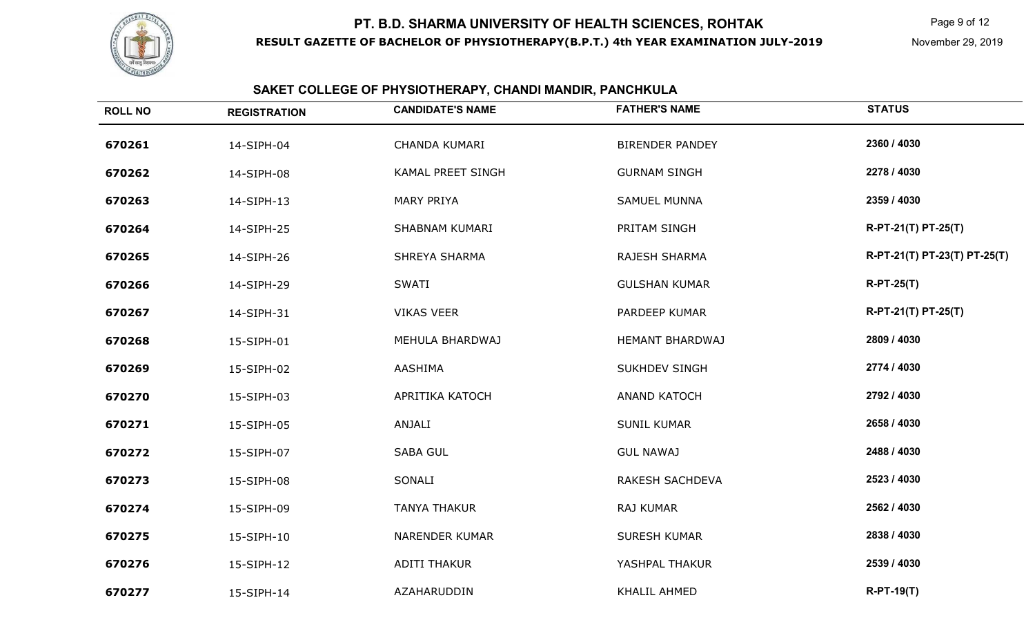

Page 9 of 12

# **SAKET COLLEGE OF PHYSIOTHERAPY, CHANDI MANDIR, PANCHKULA**

| <b>ROLL NO</b> | <b>REGISTRATION</b> | <b>CANDIDATE'S NAME</b> | <b>FATHER'S NAME</b>   | <b>STATUS</b>                |
|----------------|---------------------|-------------------------|------------------------|------------------------------|
| 670261         | 14-SIPH-04          | <b>CHANDA KUMARI</b>    | <b>BIRENDER PANDEY</b> | 2360 / 4030                  |
| 670262         | 14-SIPH-08          | KAMAL PREET SINGH       | <b>GURNAM SINGH</b>    | 2278 / 4030                  |
| 670263         | 14-SIPH-13          | <b>MARY PRIYA</b>       | <b>SAMUEL MUNNA</b>    | 2359 / 4030                  |
| 670264         | 14-SIPH-25          | SHABNAM KUMARI          | PRITAM SINGH           | R-PT-21(T) PT-25(T)          |
| 670265         | 14-SIPH-26          | SHREYA SHARMA           | RAJESH SHARMA          | R-PT-21(T) PT-23(T) PT-25(T) |
| 670266         | 14-SIPH-29          | <b>SWATI</b>            | <b>GULSHAN KUMAR</b>   | $R-PT-25(T)$                 |
| 670267         | 14-SIPH-31          | <b>VIKAS VEER</b>       | PARDEEP KUMAR          | R-PT-21(T) PT-25(T)          |
| 670268         | 15-SIPH-01          | MEHULA BHARDWAJ         | <b>HEMANT BHARDWAJ</b> | 2809 / 4030                  |
| 670269         | 15-SIPH-02          | AASHIMA                 | <b>SUKHDEV SINGH</b>   | 2774 / 4030                  |
| 670270         | 15-SIPH-03          | APRITIKA KATOCH         | <b>ANAND KATOCH</b>    | 2792 / 4030                  |
| 670271         | 15-SIPH-05          | ANJALI                  | <b>SUNIL KUMAR</b>     | 2658 / 4030                  |
| 670272         | 15-SIPH-07          | <b>SABA GUL</b>         | <b>GUL NAWAJ</b>       | 2488 / 4030                  |
| 670273         | 15-SIPH-08          | SONALI                  | RAKESH SACHDEVA        | 2523 / 4030                  |
| 670274         | 15-SIPH-09          | <b>TANYA THAKUR</b>     | RAJ KUMAR              | 2562 / 4030                  |
| 670275         | 15-SIPH-10          | NARENDER KUMAR          | <b>SURESH KUMAR</b>    | 2838 / 4030                  |
| 670276         | 15-SIPH-12          | <b>ADITI THAKUR</b>     | YASHPAL THAKUR         | 2539 / 4030                  |
| 670277         | 15-SIPH-14          | AZAHARUDDIN             | KHALIL AHMED           | $R-PT-19(T)$                 |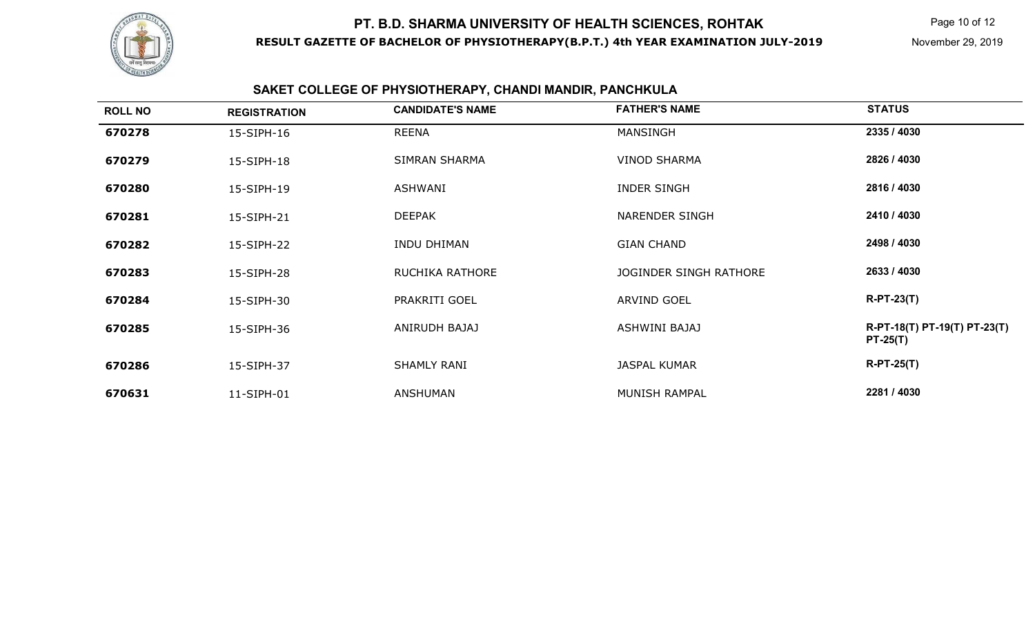

# **SAKET COLLEGE OF PHYSIOTHERAPY, CHANDI MANDIR, PANCHKULA**

| <b>ROLL NO</b> | <b>REGISTRATION</b> | <b>CANDIDATE'S NAME</b> | <b>FATHER'S NAME</b>   | <b>STATUS</b>                              |
|----------------|---------------------|-------------------------|------------------------|--------------------------------------------|
| 670278         | 15-SIPH-16          | <b>REENA</b>            | <b>MANSINGH</b>        | 2335 / 4030                                |
| 670279         | 15-SIPH-18          | SIMRAN SHARMA           | <b>VINOD SHARMA</b>    | 2826 / 4030                                |
| 670280         | 15-SIPH-19          | ASHWANI                 | <b>INDER SINGH</b>     | 2816 / 4030                                |
| 670281         | 15-SIPH-21          | <b>DEEPAK</b>           | <b>NARENDER SINGH</b>  | 2410 / 4030                                |
| 670282         | 15-SIPH-22          | <b>INDU DHIMAN</b>      | <b>GIAN CHAND</b>      | 2498 / 4030                                |
| 670283         | 15-SIPH-28          | <b>RUCHIKA RATHORE</b>  | JOGINDER SINGH RATHORE | 2633 / 4030                                |
| 670284         | 15-SIPH-30          | PRAKRITI GOEL           | <b>ARVIND GOEL</b>     | $R-PT-23(T)$                               |
| 670285         | 15-SIPH-36          | ANIRUDH BAJAJ           | ASHWINI BAJAJ          | R-PT-18(T) PT-19(T) PT-23(T)<br>$PT-25(T)$ |
| 670286         | 15-SIPH-37          | <b>SHAMLY RANI</b>      | <b>JASPAL KUMAR</b>    | $R-PT-25(T)$                               |
| 670631         | 11-SIPH-01          | ANSHUMAN                | MUNISH RAMPAL          | 2281 / 4030                                |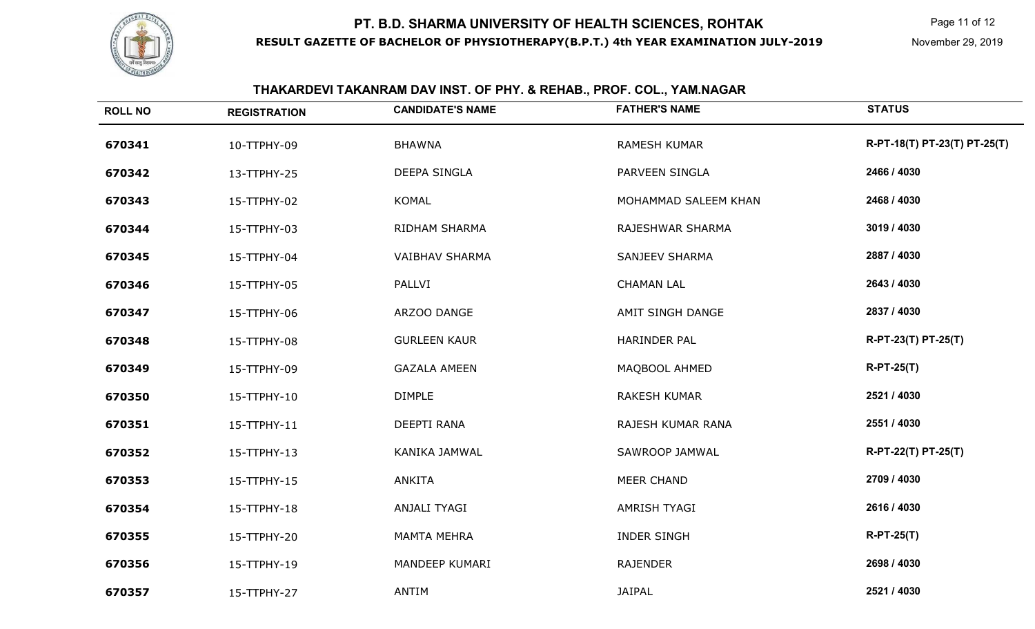

# **THAKARDEVI TAKANRAM DAV INST. OF PHY. & REHAB., PROF. COL., YAM.NAGAR**

| <b>ROLL NO</b> | <b>REGISTRATION</b> | <b>CANDIDATE'S NAME</b> | <b>FATHER'S NAME</b>  | <b>STATUS</b>                |
|----------------|---------------------|-------------------------|-----------------------|------------------------------|
| 670341         | 10-TTPHY-09         | <b>BHAWNA</b>           | <b>RAMESH KUMAR</b>   | R-PT-18(T) PT-23(T) PT-25(T) |
| 670342         | 13-TTPHY-25         | DEEPA SINGLA            | PARVEEN SINGLA        | 2466 / 4030                  |
| 670343         | 15-TTPHY-02         | <b>KOMAL</b>            | MOHAMMAD SALEEM KHAN  | 2468 / 4030                  |
| 670344         | 15-TTPHY-03         | RIDHAM SHARMA           | RAJESHWAR SHARMA      | 3019 / 4030                  |
| 670345         | 15-TTPHY-04         | <b>VAIBHAV SHARMA</b>   | <b>SANJEEV SHARMA</b> | 2887 / 4030                  |
| 670346         | 15-TTPHY-05         | PALLVI                  | <b>CHAMAN LAL</b>     | 2643 / 4030                  |
| 670347         | 15-TTPHY-06         | ARZOO DANGE             | AMIT SINGH DANGE      | 2837 / 4030                  |
| 670348         | 15-TTPHY-08         | <b>GURLEEN KAUR</b>     | <b>HARINDER PAL</b>   | R-PT-23(T) PT-25(T)          |
| 670349         | 15-TTPHY-09         | <b>GAZALA AMEEN</b>     | MAQBOOL AHMED         | $R-PT-25(T)$                 |
| 670350         | 15-TTPHY-10         | <b>DIMPLE</b>           | <b>RAKESH KUMAR</b>   | 2521 / 4030                  |
| 670351         | 15-TTPHY-11         | DEEPTI RANA             | RAJESH KUMAR RANA     | 2551 / 4030                  |
| 670352         | 15-TTPHY-13         | KANIKA JAMWAL           | SAWROOP JAMWAL        | R-PT-22(T) PT-25(T)          |
| 670353         | 15-TTPHY-15         | <b>ANKITA</b>           | <b>MEER CHAND</b>     | 2709 / 4030                  |
| 670354         | 15-TTPHY-18         | ANJALI TYAGI            | AMRISH TYAGI          | 2616 / 4030                  |
| 670355         | 15-TTPHY-20         | <b>MAMTA MEHRA</b>      | <b>INDER SINGH</b>    | $R-PT-25(T)$                 |
| 670356         | 15-TTPHY-19         | MANDEEP KUMARI          | <b>RAJENDER</b>       | 2698 / 4030                  |
| 670357         | 15-TTPHY-27         | ANTIM                   | <b>JAIPAL</b>         | 2521 / 4030                  |